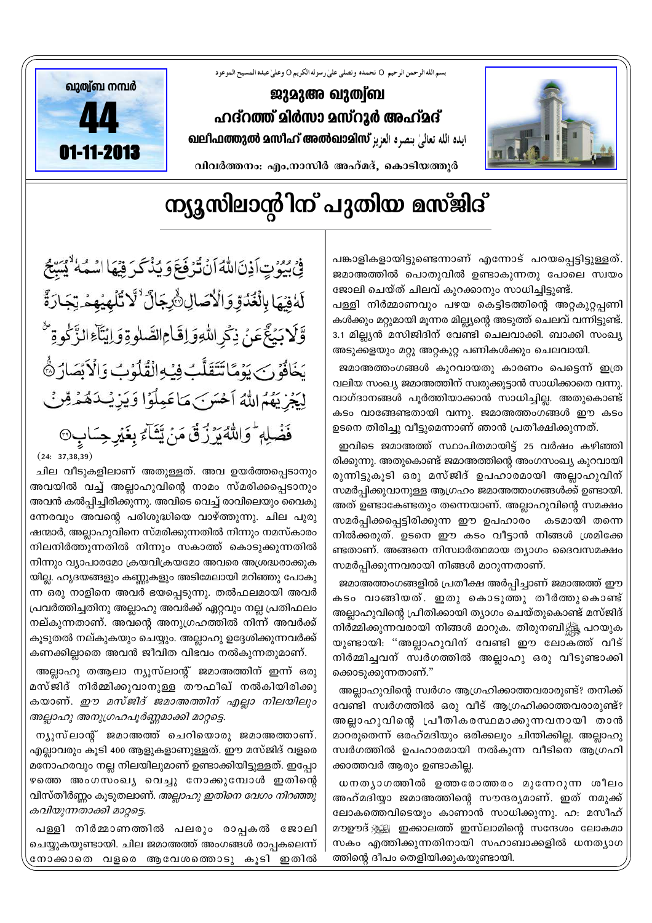

## ന്യൂസിലാൻ്റിന് പുതിയ മസ്ജിദ്

1

പങ്കാളികളായിട്ടുണ്ടെന്നാണ് എന്നോട് പറയപ്പെട്ടിട്ടുള്ളത്. ജമാഅത്തിൽ പൊതുവിൽ ഉണ്ടാകുന്നതു പോലെ സ്വയം ജോലി ചെയ്ത് ചിലവ് കുറക്കാനും സാധിച്ചിട്ടുണ്ട്.

പള്ളി നിർമ്മാണവും പഴയ കെട്ടിടത്തിന്റെ അറ്റകുറ്റപ്പണി കൾക്കും മറ്റുമായി മൂന്നര മില്ല്യന്റെ അടുത്ത് ചെലവ് വന്നിട്ടുണ്ട്. 3.1 മില്ല്യൻ മസിജിദിന് വേണ്ടി ചെലവാക്കി. ബാക്കി സംഖ്യ അടുക്കളയും മറ്റു അറ്റകുറ്റ പണികൾക്കും ചെലവായി.

ജമാഅത്തംഗങ്ങൾ കുറവായതു കാരണം പെട്ടെന്ന് ഇത്ര  $\alpha$ ലിയ സംഖ്യ ജമാഅത്തിന് സ്വരുക്കുട്ടാൻ സാധിക്കാതെ വന്നു. വാഗ്ദാനങ്ങൾ പൂർത്തിയാക്കാൻ സാധിച്ചില്ല. അതുകൊണ്ട് കടം വാങ്ങേണ്ടതായി വന്നു. ജമാഅത്തംഗങ്ങൾ ഈ കടം ഉടനെ തിരിച്ചു വീട്ടുമെന്നാണ് ഞാൻ പ്രതീക്ഷിക്കുന്നത്.

ഇവിടെ ജമാഅത്ത് സ്ഥാപിതമായിട്ട് 25 വർഷം കഴിഞ്ഞി രിക്കുന്നു. അതുകൊണ്ട് ജമാഅത്തിന്റെ അംഗസംഖ്യ കുറവായി രുന്നിട്ടുകൂടി ഒരു മസ്ജിദ് ഉപഹാരമായി അല്ലാഹുവിന് സമർപ്പിക്കുവാനുള്ള ആഗ്രഹം ജമാഅത്തംഗങ്ങൾക്ക് ഉണ്ടായി. അത് ഉണ്ടാകേണ്ടതും തന്നെയാണ്. അല്ലാഹുവിന്റെ സമക്ഷം സമർപ്പിക്കപ്പെട്ടിരിക്കുന്ന ഈ ഉപഹാരം കടമായി തന്നെ നിൽക്കരുത്. ഉടനെ ഈ കടം വീട്ടാൻ നിങ്ങൾ ശ്രമിക്കേ ണ്ടതാണ്. അങ്ങനെ നിസ്വാർത്ഥമായ ത്യാഗം ദൈവസമക്ഷം സമർപ്പിക്കുന്നവരായി നിങ്ങൾ മാറുന്നതാണ്.

ജമാഅത്തംഗങ്ങളിൽ പ്രതീക്ഷ അർപ്പിച്ചാണ് ജമാഅത്ത് ഈ കടം വാങ്ങിയത്. ഇതു കൊടുത്തു തീർത്തുകൊണ്ട് അല്ലാഹുവിന്റെ പ്രീതിക്കായി ത്യാഗം ചെയ്തുകൊണ്ട് മസ്ജിദ് നിര്മ്മിക്കുന്നവരായി നിങ്ങൾ മാറുക. തിരുനബി∰<sub>ജ</sub> പറയുക യുണ്ടായി: "അല്ലാഹുവിന് വേണ്ടി ഈ ലോക്ത്ത് വീട് നിർമ്മിച്ചവന് സ്വർഗത്തിൽ അല്ലാഹു ഒരു വീടുണ്ടാക്കി ക്കൊടുക്കുന്നതാണ്."

അല്ലാഹുവിന്റെ സ്വർഗം ആഗ്രഹിക്കാത്തവരാരുണ്ട്? തനിക്ക് വേണ്ടി സ്വർഗത്തിൽ ഒരു വീട് ആഗ്രഹിക്കാത്തവരാരുണ്ട്? അല്ലാഹുവിന്റെ ∟പീതികരസ്ഥമാക്കുന്നവനായി താൻ മാറരുതെന്ന് ഒരഹ്മദിയും ഒരിക്കലും ചിന്തിക്കില്ല. അല്ലാഹു സ്വർഗത്തിൽ ഉപഹാരമായി നൽകുന്ന വീടിനെ ആഗ്രഹി ക്കാത്തവർ ആരും ഉണ്ടാകില്ല.

 $\omega$ നതൃാഗത്തിൽ ഉത്തരോത്തരം മുന്നേറുന്ന ശീലം അഹ്മദിയാ ജമാഅത്തിന്റെ സൗന്ദര്യമാണ്. ഇത് നമുക്ക് ലോകത്തെവിടെയും കാണാൻ സാധിക്കുന്നു. ഹ: മസീഹ് മൗഊദ് <u>ജൂജ</u>്വ ഇക്കാലത്ത് ഇസ്ലാമിന്റെ സന്ദേശം ലോകമാ സകം എത്തിക്കുന്നതിനായി സഹാബാക്കളിൽ ധനത്യാഗ ത്തിന്റെ ദീപം തെളിയിക്കുകയുണ്ടായി.

فِي بُيُونِ آذِنَ اللَّهُ أَنْ تُرْفَعَ وَيُذْكَرَ فِيهَا اسْمَهُ ۚ يُسَبِّحُ لَهُ فِيْهَا بِالْغُدُوِّ وَالْأَصَالِ أَرْجَالٌ لَأَ تُلْهِيُهِمْ تِجَارَةً وَّلَابَيۡغَ عَنۡ ذِكۡرِاللَّهِوَ اِقَامِ الصَّلٰوةِ وَ اِيۡتَآءَ الزَّكْوةِ يَخَافُوۡنَ يَوۡمَّاتَتَقَلَّبُ فِيۡهِ الۡقُلۡوَٰبُ وَالۡاَبۡصَارَ ﴾ لِيَجْرِيَهُمَ اللَّهُ أَحْسَرَ بَ مَاعَمِلُوۡ! وَيَزِيُـٰدَهُمۡهِ قِنۡنَ فَضَٰلِهٖ ؕ وَاللَّهُ يَرُزُقَ مَنۡ يَّتَآءُ بِغَيۡرِ حِسَابٍ۞  $(24: 37, 38, 39)$ 

ചില വീടുകളിലാണ് അതുള്ളത്. അവ ഉയർത്തപ്പെടാനും അവയിൽ വച്ച് അല്ലാഹുവിന്റെ നാമം സ്മരിക്കപ്പെടാനും അവൻ കൽപ്പിച്ചിരിക്കുന്നു. അവിടെ വെച്ച് രാവിലെയും വൈകു ന്നേരവും അവന്റെ പരിശുദ്ധിയെ വാഴ്ത്തുന്നു. ചില പുരു ഷന്മാർ, അല്ലാഹുവിനെ സ്മരിക്കുന്നതിൽ നിന്നും നമസ്കാരം നിലനിർത്തുന്നതിൽ നിന്നും സകാത്ത് കൊടുക്കുന്നതിൽ  $\mathfrak{m}$ ിന്നും വ്യാപാരമോ ക്രയവിക്രയമോ അവരെ അശ്രദ്ധരാക്കുക യില്ല. ഹൃദയങ്ങളും കണ്ണുകളും അടിമേലായി മറിഞ്ഞു പോകു ന്ന ഒരു നാളിനെ അവർ ഭയപ്പെടുന്നു. തൽഫലമായി അവർ  ${1}$ പവർത്തിച്ചതിനു അല്ലാഹു അവർക്ക് ഏറ്റവും നല്ല പ്രതിഫലം നല്കുന്നതാണ്. അവന്റെ അനുഗ്രഹത്തിൽ നിന്ന് അവർക്ക് കൂടുതൽ നല്കുകയും ചെയ്യും. അല്ലാഹു ഉദ്ദേശിക്കുന്നവർക്ക് കണക്കില്ലാതെ അവൻ ജീവിത വിഭവം നൽകുന്നതുമാണ്.

അല്ലാഹു തആലാ ന്യൂസ്ലാന്റ് ജമാഅത്തിന് ഇന്ന് ഒരു മസ്ജിദ് നിർമ്മിക്കുവാനുള്ള തൗഫീഖ് നൽകിയിരിക്കു കയാണ്. *ഈ മസ്ജിദ് ജമാഅത്തിന് എല്ലാ നിലയിലും അല്ലാഹു അനുഗ്രഹപൂർണ്ണമാക്കി മാറ്റട്ടെ.* 

ന്യൂസ്ലാന് ജമാഅത്ത് ചെറിയൊരു ജമാഅത്താണ്. എല്ലാവരും കൂടി 400 ആളുകളാണുള്ളത്. ഈ മസ്ജിദ് വളരെ മനോഹരവും നല്ല നിലയിലുമാണ് ഉണ്ടാക്കിയിട്ടുള്ളത്. ഇപ്പോ ഴത്തെ അംഗസംഖ്യ വെച്ചു നോക്കുമ്പോൾ ഇതിന്റെ വിസ്തീർണ്ണം കൂടുതലാണ്. *അല്ലാഹു ഇതിനെ വേഗം നിറഞ്ഞു കവിയുന്നതാക്കി മാറ്റട്ടെ*.

പള്ളി നിർമ്മാണത്തിൽ പലരും രാപ്പകൽ ജോലി ചെയ്യുകയുണ്ടായി. ചില ജമാഅത്ത് അംഗങ്ങൾ രാപ്പകലെന്ന് നോക്കാതെ വളരെ ആവേശത്തൊടു കൂടി ഇതിൽ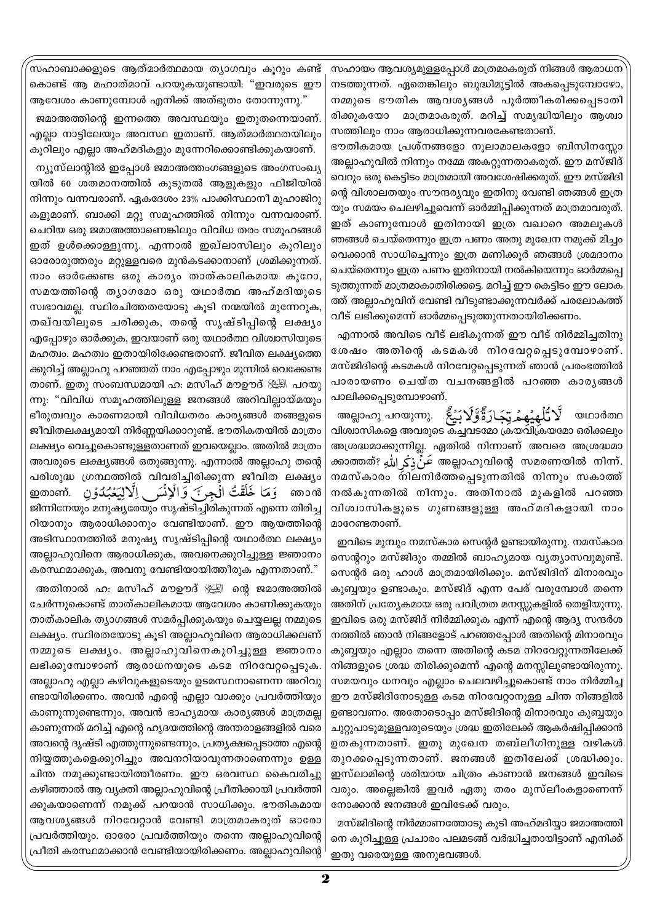.<br>സഹാബാക്കളുടെ ആത്മാർത്ഥമായ ത്യാഗവും കുറും കണ്ട് കൊണ്ട് ആ മഹാത്മാവ് പറയുകയുണ്ടായി: "ഇവരുടെ ഈ ആവേശം കാണുമ്പോൾ എനിക്ക് അത്ഭുതം തോന്നുന്നു."

ജമാഅത്തിന്റെ ഇന്നത്തെ അവസ്ഥയും ഇതുതന്നെയാണ്. എല്ലാ നാട്ടിലേയും അവസ്ഥ ഇതാണ്. ആത്മാർത്ഥതയിലും കൂറിലും എല്ലാ അഹ്മദികളും മുന്നേറിക്കൊണ്ടിക്കുകയാണ്.

ന്യൂസ്ലാന്റിൽ ഇപ്പോൾ ജമാഅത്തംഗങ്ങളുടെ അംഗസംഖ്യ യിൽ 60 ശതമാനത്തിൽ കൂടുതൽ ആളുകളും ഫിജിയിൽ നിന്നും വന്നവരാണ്. ഏകദേശം 23% പാക്കിസ്ഥാനീ മുഹാജിറു കളുമാണ്. ബാക്കി മറ്റു സമൂഹത്തിൽ നിന്നും വന്നവരാണ്. ചെറിയ ഒരു ജമാഅത്താണെങ്കിലും വിവിധ തരം സമൂഹങ്ങൾ ഇത് ഉൾക്കൊള്ളുന്നു. എന്നാൽ ഇഖ്ലാസിലും കൂറിലും ഓരോരുത്തരും മറ്റുള്ളവരെ മുൻകടക്കാനാണ് ശ്രമിക്കുന്നത്. നാം ഓർക്കേണ്ട ഒരു കാര്യം താത്കാലികമായ കൂറോ, സമയത്തിന്റെ തൃാഗമോ ഒരു യഥാർത്ഥ അഹ്മദിയുടെ സ്വഭാവമല്ല. സ്ഥിരചിത്തതയോടു കൂടി നന്മയിൽ മുന്നേറുക, തഖ്വയിലൂടെ ചരിക്കുക, തന്റെ സൃഷ്ടിപ്പിന്റെ ലക്ഷ്യം എപ്പോഴും ഓർക്കുക, ഇവയാണ് ഒരു യഥാർത്ഥ വിശ്വാസിയുടെ മഹത്വം. മഹത്വം ഇതായിരിക്കേണ്ടതാണ്. ജീവിത ലക്ഷ്യത്തെ ക്കുറിച്ച് അല്ലാഹു പറഞ്ഞത് നാം എപ്പോഴും മുന്നിൽ വെക്കേണ്ട താണ്. ഇതു സംബന്ധമായി ഹ: മസീഹ് മൗഊദ് ﷺ പറയു ന്നു: "വിവിധ സമൂഹത്തിലുള്ള ജനങ്ങൾ അറിവില്ലായ്മയും ഭീരുത്വവും കാരണമായി വിവിധതരം കാര്യങ്ങൾ തങ്ങളുടെ ജീവിതലക്ഷ്യമായി നിർണ്ണയിക്കാറുണ്ട്. ഭൗതികതയിൽ മാത്രം ലക്ഷ്യം വെച്ചുകൊണ്ടുള്ളതാണത് ഇവയെല്ലാം. അതിൽ മാത്രം അവരുടെ ലക്ഷ്യങ്ങൾ ഒതുങ്ങുന്നു. എന്നാൽ അല്ലാഹു തന്റെ പരിശുദ്ധ ഗ്രന്ഥത്തിൽ വിവരിച്ചിരിക്കുന്ന ജീവിത ലക്ഷ്യം َ وَمَا خَلَقْتُ الْجِرِ ﴾ وَالْإِنْسَ إِلَّالِيَعْبُدُوْنِ .mom ഞാൻ ജിന്നിനേയും മനുഷ്യരേയും സൃഷ്ടിച്ചിരികുന്നത് എന്നെ തിരിച്ച റിയാനും ആരാധിക്കാനും വേണ്ടിയാണ്. ഈ ആയത്തിന്റെ അടിസ്ഥാനത്തിൽ മനുഷ്യ സൃഷ്ടിപ്പിന്റെ യഥാർത്ഥ ലക്ഷ്യം അല്ലാഹുവിനെ ആരാധിക്കുക, അവനെക്കുറിച്ചുള്ള ജ്ഞാനം കരസ്ഥമാക്കുക, അവനു വേണ്ടിയായിത്തീരുക എന്നതാണ്."

അതിനാൽ ഹ: മസീഹ് മൗഊദ് ﷺ ന്റെ ജമാഅത്തിൽ ചേർന്നുകൊണ്ട് താത്കാലികമായ ആവേശം കാണിക്കുകയും താത്കാലിക ത്യാഗങ്ങൾ സമർപ്പിക്കുകയും ചെയ്യലല്ല നമ്മുടെ ലക്ഷ്യം. സ്ഥിരതയോടു കൂടി അല്ലാഹുവിനെ ആരാധിക്കലണ് നമ്മുടെ ലക്ഷ്യം. അല്ലാഹുവിനെകുറിച്ചുള്ള ജ്ഞാനം ലഭിക്കുമ്പോഴാണ് ആരാധനയുടെ കടമ നിറവേറ്റപ്പെടുക. അല്ലാഹു എല്ലാ കഴിവുകളുടെയും ഉടമസ്ഥനാണെന്ന അറിവു ണ്ടായിരിക്കണം. അവൻ എന്റെ എല്ലാ വാക്കും പ്രവർത്തിയും കാണുന്നുണ്ടെന്നും, അവൻ ഭാഹ്യമായ കാര്യങ്ങൾ മാത്രമല്ല കാണുന്നത് മറിച്ച് എന്റെ ഹൃദയത്തിന്റെ അന്തരാളങ്ങളിൽ വരെ അവന്റെ ദൃഷ്ടി എത്തുന്നുണ്ടെന്നും, പ്രത്യക്ഷപ്പെടാത്ത എന്റെ നിയ്യത്തുകളെക്കുറിച്ചും അവനറിയാവുന്നതാണെന്നും ഉള്ള ചിന്ത നമുക്കുണ്ടായിത്തീരണം. ഈ ഒരവസ്ഥ കൈവരിച്ചു കഴിഞ്ഞാൽ ആ വ്യക്തി അല്ലാഹുവിന്റെ പ്രീതിക്കായി പ്രവർത്തി ക്കുകയാണെന്ന് നമുക്ക് പറയാൻ സാധിക്കും. ഭൗതികമായ ആവശ്യങ്ങൾ നിറവേറ്റാൻ വേണ്ടി മാത്രമാകരുത് ഓരോ പ്രവർത്തിയും. ഓരോ പ്രവർത്തിയും തന്നെ അല്ലാഹുവിന്റെ പ്രീതി കരസ്ഥമാക്കാൻ വേണ്ടിയായിരിക്കണം. അല്ലാഹുവിന്റെ <sup>|</sup>

സഹായം ആവശ്യമുള്ളപ്പോൾ മാത്രമാകരുത് നിങ്ങൾ ആരാധന നടത്തുന്നത്. ഏതെങ്കിലും ബുദ്ധിമുട്ടിൽ അകപ്പെടുമ്പോഴോ, നമ്മുടെ ഭൗതിക ആവശൃങ്ങൾ പൂർത്തീകരിക്കപ്പെടാതി രിക്കുകയോ മാത്രമാകരുത്. മറിച്ച് സമൃദ്ധിയിലും ആശ്വാ സത്തിലും നാം ആരാധിക്കുന്നവരകേണ്ടതാണ്.

ഭൗതികമായ പ്രശ്നങ്ങളോ നൂലാമാലകളോ ബിസിനസ്സോ അല്ലാഹുവിൽ നിന്നും നമ്മേ അകറ്റുന്നതാകരുത്. ഈ മസ്ജിദ് വെറും ഒരു കെട്ടിടം മാത്രമായി അവശേഷിക്കരുത്. ഈ മസ്ജിദി ന്റെ വിശാലതയും സൗന്ദര്യവും ഇതിനു വേണ്ടി ഞങ്ങൾ ഇത്ര യും സമയം ചെലഴിച്ചുവെന്ന് ഓർമ്മിപ്പിക്കുന്നത് മാത്രമാവരുത്. ഇത് കാണുമ്പോൾ ഇതിനായി ഇത്ര വഖാറെ അമലുകൾ ഞങ്ങൾ ചെയ്തെന്നും ഇത്ര പണം അതു മുഖേന നമുക്ക് മിച്ചം വെക്കാൻ സാധിച്ചെന്നും ഇത്ര മണിക്കൂർ ഞങ്ങൾ ശ്രമദാനം ചെയ്തെന്നും ഇത്ര പണം ഇതിനായി നൽകിയെന്നും ഓർമ്മപ്പെ ടുത്തുന്നത് മാത്രമാകാതിരിക്കട്ടെ. മറിച്ച് ഈ കെട്ടിടം ഈ ലോക ത്ത് അല്ലാഹുവിന് വേണ്ടി വീടുണ്ടാക്കുന്നവർക്ക് പരലോകത്ത് വീട് ലഭിക്കുമെന്ന് ഓർമ്മപ്പെടുത്തുന്നതായിരിക്കണം.

എന്നാൽ അവിടെ വീട് ലഭികുന്നത് ഈ വീട് നിർമ്മിച്ചതിനു ശേഷം അതിന്റെ കടമകൾ നിറവേറ്റപ്പെടുമ്പോഴാണ്. മസ്ജിദിന്റെ കടമകൾ നിറവേറ്റപ്പെടുന്നത് ഞാൻ പ്രരംഭത്തിൽ പാരായണം ചെയ്ത വചനങ്ങളിൽ പറഞ്ഞ കാരൃങ്ങൾ പാലിക്കപ്പെടുമ്പോഴാണ്.

الَّا تُلْهِيُهِمُ تِجَارَةً وَّلَا بَيْعً ﴾ . ကေယောက هموالي وه യഥാർത്ഥ വിശ്വാസികളെ അവരുടെ കച്ചവടമോ ക്രയവിക്രയമോ ഒരിക്കലും അശ്രദ്ധമാക്കുന്നില്ല. ഏതിൽ നിന്നാണ് അവരെ അശ്രദ്ധമാ ക്കാത്തത്? عَنۡ ذِكَے اللهِ അല്ലാഹുവിന്റെ സമരണയിൽ നിന്ന്. നമസ്കാരം നിലനിർത്തപ്പെടുന്നതിൽ നിന്നും സകാത്ത് നൽകുന്നതിൽ നിന്നും. അതിനാൽ മുകളിൽ പറഞ്ഞ വിശ്വാസികളുടെ ഗുണങ്ങളുള്ള അഹ്മദികളായി നാം മാറേണ്ടതാണ്.

ഇവിടെ മുമ്പും നമസ്കാര സെന്റർ ഉണ്ടായിരുന്നു. നമസ്കാര സെന്ററും മസ്ജിദും തമ്മിൽ ബാഹ്യമായ വ്യത്യാസവുമുണ്ട്. സെന്റർ ഒരു ഹാൾ മാത്രമായിരിക്കും. മസ്ജിദിന് മിനാരവും കുബ്ബയും ഉണ്ടാകും. മസ്ജിദ് എന്ന പേര് വരുമ്പോൾ തന്നെ അതിന് പ്രത്യേകമായ ഒരു പവിത്രത മനസ്സുകളിൽ തെളിയുന്നു. ഇവിടെ ഒരു മസ്ജിദ് നിർമ്മിക്കുക എന്ന് എന്റെ ആദ്യ സന്ദർശ നത്തിൽ ഞാൻ നിങ്ങളോട് പറഞ്ഞപ്പോൾ അതിന്റെ മിനാരവും കുബ്ബയും എല്ലാം തന്നെ അതിന്റെ കടമ നിറവേറ്റുന്നതിലേക്ക് നിങ്ങളുടെ ശ്രദ്ധ തിരിക്കുമെന്ന് എന്റെ മനസ്സിലുണ്ടായിരുന്നു. സമയവും ധനവും എല്ലാം ചെലവഴിച്ചുകൊണ്ട് നാം നിർമ്മിച്ച ഈ മസ്ജിദിനോടുള്ള കടമ നിറവേറ്റാനുള്ള ചിന്ത നിങ്ങളിൽ ഉണ്ടാവണം. അതോടൊപ്പം മസ്ജിദിന്റെ മിനാരവും കുബ്ബയും ചുറ്റുപാടുമുള്ളവരുടെയും ശ്രദ്ധ ഇതിലേക്ക് ആകർഷിപിക്കാൻ ഉതകുന്നതാണ്. ഇതു മുഖേന തബ്ലീഗിനുള്ള വഴികൾ തുറക്കപ്പെടുന്നതാണ്. ജനങ്ങൾ ഇതിലേക്ക് ശ്രദ്ധിക്കും. ഇസ്ലാമിന്റെ ശരിയായ ചിത്രം കാണാൻ ജനങ്ങൾ ഇവിടെ വരും. അല്ലെങ്കിൽ ഇവർ ഏതു തരം മുസ്ലീംകളാണെന്ന് നോക്കാൻ ജനങ്ങൾ ഇവിടേക്ക് വരും.

മസ്ജിദിന്റെ നിർമ്മാണത്തോടു കുടി അഹ്മദിയ്യാ ജമാഅത്തി നെ കുറിച്ചുള്ള പ്രചാരം പലമടങ്ങ് വർദ്ധിച്ചതായിട്ടാണ് എനിക്ക് ഇതു വരെയുള്ള അനുഭവങ്ങൾ.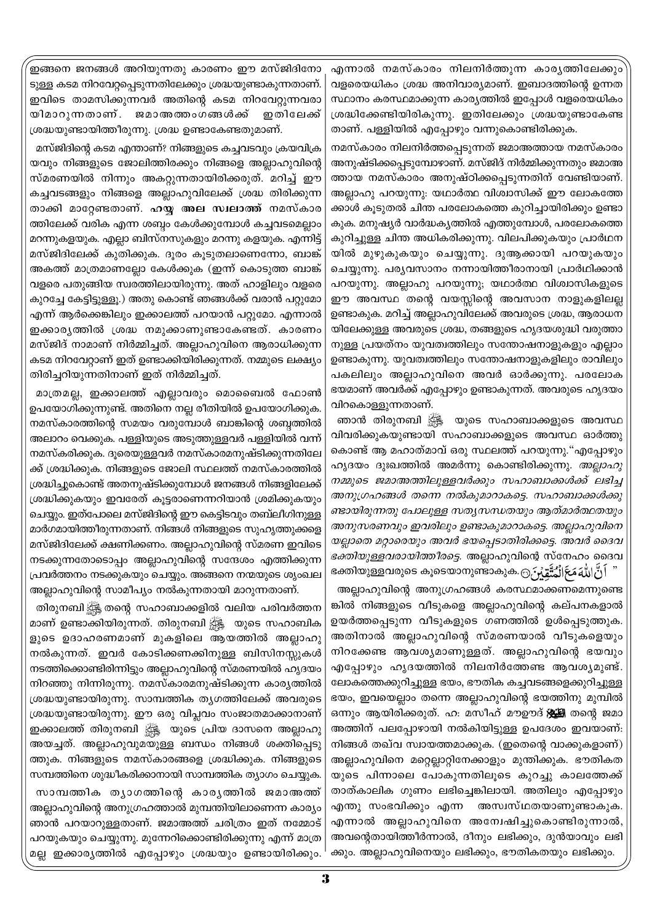ഇങ്ങനെ ജനങ്ങൾ അറിയുന്നതു കാരണം ഈ മസ്ജിദിനോ ടുള്ള കടമ നിറവേറ്റപ്പെടുന്നതിലേക്കും ശ്രദ്ധയുണ്ടാകുന്നതാണ്. ഇവിടെ താമസിക്കുന്നവർ അതിന്റെ കടമ നിറവേറ്റുന്നവരാ യിമാറുന്നതാണ്. ജമാഅത്തംഗങ്ങൾക്ക് ഇതിലേക്ക് ശ്രദ്ധയുണ്ടായിത്തീരുന്നു. ശ്രദ്ധ ഉണ്ടാകേണ്ടതുമാണ്.

മസ്ജിദിന്റെ കടമ എന്താണ്? നിങ്ങളുടെ കച്ചവടവും ക്രയവിക്ര യവും നിങ്ങളുടെ ജോലിത്തിരക്കും നിങ്ങളെ അല്ലാഹുവിന്റെ സ്മരണയിൽ നിന്നും അകറ്റുന്നതായിരിക്കരുത്. മറിച്ച് ഈ കച്ചവടങ്ങളും നിങ്ങളെ അല്ലാഹുവിലേക്ക് ശ്രദ്ധ തിരിക്കുന്ന താക്കി മാറ്റേണ്ടതാണ്. **ഹയ്യ അല സ്ഥാത്ത്** നമസ്കാര ത്തിലേക്ക് വരിക എന്ന ശബ്ദം കേൾക്കുമ്പോൾ കച്ചവടമെല്ലാം മറന്നുകളയുക. എല്ലാ ബിസ്നസുകളും മറന്നു കളയുക. എന്നിട്ട് മസ്ജിദിലേക്ക് കുതിക്കുക. ദൂരം കൂടുതലാണെന്നോ, ബാങ്ക് അകത്ത് മാത്രമാണല്ലോ കേൾക്കുക (ഇന്ന് കൊടുത്ത ബാങ്ക് വളരെ പതുങ്ങിയ സ്വരത്തിലായിരുന്നു. അത് ഹാളിലും വളരെ കുറച്ചേ കേട്ടിട്ടുള്ളൂ.) അതു കൊണ്ട് ഞങ്ങൾക്ക് വരാൻ പറ്റുമോ എന്ന് ആർക്കെങ്കിലും ഇക്കാലത്ത് പറയാൻ പറ്റുമോ. എന്നാൽ ഇക്കാരൃത്തിൽ ശ്രദ്ധ നമുക്കാണുണ്ടാകേണ്ടത്. കാരണം മസ്ജിദ് നാമാണ് നിർമ്മിച്ചത്. അല്ലാഹുവിനെ ആരാധിക്കുന്ന കടമ നിറവേറ്റാണ് ഇത് ഉണ്ടാക്കിയിരിക്കുന്നത്. നമ്മുടെ ലക്ഷ്യം തിരിച്ചറിയുന്നതിനാണ് ഇത് നിർമ്മിച്ചത്.

മാത്രമല്ല, ഇക്കാലത്ത് എല്ലാവരും മൊബൈൽ ഫോൺ ഉപയോഗിക്കുന്നുണ്ട്. അതിനെ നല്ല രീതിയിൽ ഉപയോഗിക്കുക. നമസ്കാരത്തിന്റെ സമയം വരുമ്പോൾ ബാങ്കിന്റെ ശബ്ദത്തിൽ അലാറം വെക്കുക. പള്ളിയുടെ അടുത്തുള്ളവർ പള്ളിയിൽ വന്ന് നമസ്കരിക്കുക. ദുരെയുള്ളവർ നമസ്കാരമനുഷ്ടിക്കുന്നതിലേ ക്ക് ശ്രദ്ധിക്കുക. നിങ്ങളുടെ ജോലി സ്ഥലത്ത് നമസ്കാരത്തിൽ ശ്രദ്ധിച്ചുകൊണ്ട് അതനുഷ്ടിക്കുമ്പോൾ ജനങ്ങൾ നിങ്ങളിലേക്ക് ശ്രദ്ധിക്കുകയും ഇവരേത് കൂട്ടരാണെന്നറിയാൻ ശ്രമിക്കുകയും ചെയ്യും. ഇത്പോലെ മസ്ജിദിന്റെ ഈ കെട്ടിടവും തബ്ലീഗിനുള്ള മാർഗമായിത്തീരുന്നതാണ്. നിങ്ങൾ നിങ്ങളുടെ സുഹൃത്തുക്കളെ മസ്ജിദിലേക്ക് ക്ഷണിക്കണം. അല്ലാഹുവിന്റെ സ്മരണ ഇവിടെ നടക്കുന്നതോടൊപ്പം അല്ലാഹുവിന്റെ സന്ദേശം എത്തിക്കുന്ന പ്രവർത്തനം നടക്കുകയും ചെയ്യും. അങ്ങനെ നന്മയുടെ ശൃംഖല അല്ലാഹുവിന്റെ സാമീപ്യം നൽകുന്നതായി മാറുന്നതാണ്.

തിരുനബി ﷺ തന്റെ സഹാബാക്കളിൽ വലിയ പരിവർത്തന മാണ് ഉണ്ടാക്കിയിരുന്നത്. തിരുനബി ﷺ യുടെ സഹാബിക ളുടെ ഉദാഹരണമാണ് മുകളിലെ ആയത്തിൽ അല്ലാഹു നൽകുന്നത്. ഇവർ കോടിക്കണക്കിനുള്ള ബിസിനസ്സുകൾ നടത്തിക്കൊണ്ടിരിന്നിട്ടും അല്ലാഹുവിന്റെ സ്മരണയിൽ ഹൃദയം നിറഞ്ഞു നിന്നിരുന്നു. നമസ്കാരമനുഷ്ടിക്കുന്ന കാര്യത്തിൽ ശ്രദ്ധയുണ്ടായിരുന്നു. സാമ്പത്തിക തൃഗത്തിലേക്ക് അവരുടെ ശ്രദ്ധയുണ്ടായിരുന്നു. ഈ ഒരു വിപ്ലവം സംജാതമാക്കാനാണ് ഇക്കാലത്ത് തിരുനബി ﷺ യുടെ പ്രിയ ദാസനെ അല്ലാഹു അയച്ചത്. അല്ലാഹുവുമയുള്ള ബന്ധം നിങ്ങൾ ശക്തിപ്പെടു ത്തുക. നിങ്ങളുടെ നമസ്കാരങ്ങളെ ശ്രദ്ധിക്കുക. നിങ്ങളുടെ സമ്പത്തിനെ ശുദ്ധീകരിക്കാനായി സാമ്പത്തിക ത്യാഗം ചെയ്യുക.

സാമ്പത്തിക തൃാഗത്തിന്റെ കാരൃത്തിൽ ജമാഅത്ത് അല്ലാഹുവിന്റെ അനുഗ്രഹത്താൽ മുമ്പന്തിയിലാണെന്ന കാര്യം ഞാൻ പറയാറുള്ളതാണ്. ജമാഅത്ത് ചരിത്രം ഇത് നമ്മോട് പറയുകയും ചെയ്യുന്നു. മുന്നേറിക്കൊണ്ടിരിക്കുന്നു എന്ന് മാത്ര മല്ല ഇക്കാര്യത്തിൽ എപ്പോഴും ശ്രദ്ധയും ഉണ്ടായിരിക്കും.

എന്നാൽ നമസ്കാരം നിലനിർത്തുന്ന കാര്യത്തിലേക്കും വളരെയധികം ശ്രദ്ധ അനിവാര്യമാണ്. ഇബാദത്തിന്റെ ഉന്നത സ്ഥാനം കരസ്ഥമാക്കുന്ന കാര്യത്തിൽ ഇപ്പോൾ വളരെയധികം ശ്രദ്ധിക്കേണ്ടിയിരികുന്നു. ഇതിലേക്കും ശ്രദ്ധയുണ്ടാകേണ്ട താണ്. പള്ളിയിൽ എപ്പോഴും വന്നുകൊണ്ടിരിക്കുക.

നമസ്കാരം നിലനിർത്തപ്പെടുന്നത് ജമാഅത്തായ നമസ്കാരം അനുഷ്ടിക്കപ്പെടുമ്പോഴാണ്. മസ്ജിദ് നിർമ്മിക്കുന്നതും ജമാഅ ത്തായ നമസ്കാരം അനുഷ്ഠിക്കപ്പെടുന്നതിന് വേണ്ടിയാണ്. അല്ലാഹു പറയുന്നു: യഥാർത്ഥ വിശ്വാസിക്ക് ഈ ലോകത്തേ ക്കാൾ കൂടുതൽ ചിന്ത പരലോകത്തെ കുറിച്ചായിരിക്കും ഉണ്ടാ കുക. മനുഷ്യർ വാർദ്ധകൃത്തിൽ എത്തുമ്പോൾ, പരലോകത്തെ കുറിച്ചുള്ള ചിന്ത അധികരിക്കുന്നു. വിലപിക്കുകയും പ്രാർഥന യിൽ മുഴുകുകയും ചെയ്യുന്നു. ദുആക്കായി പറയുകയും ചെയ്യുന്നു. പര്യവസാനം നന്നായിത്തീരാനായി പ്രാർഥിക്കാൻ പറയുന്നു. അല്ലാഹു പറയുന്നു; യഥാർത്ഥ വിശ്വാസികളുടെ ഈ അവസ്ഥ തന്റെ വയസ്സിന്റെ അവസാന നാളുകളിലല്ല ഉണ്ടാകുക. മറിച്ച് അല്ലാഹുവിലേക്ക് അവരുടെ ശ്രദ്ധ, ആരാധന യിലേക്കുള്ള അവരുടെ ശ്രദ്ധ, തങ്ങളുടെ ഹൃദയശുദ്ധി വരുത്താ നുള്ള പ്രയത്നം യുവത്വത്തിലും സന്തോഷനാളുകളും എല്ലാം ഉണ്ടാകുന്നു. യുവത്വത്തിലും സന്തോഷനാളുകളിലും രാവിലും പകലിലും അല്ലാഹുവിനെ അവർ ഓർക്കുന്നു. പരലോക ഭയമാണ് അവർക്ക് എപ്പോഴും ഉണ്ടാകുന്നത്. അവരുടെ ഹൃദയം വിറകൊള്ളുന്നതാണ്.

ഞാൻ തിരുനബി ﷺ യുടെ സഹാബാക്കളുടെ അവസ്ഥ വിവരിക്കുകയുണ്ടായി സഹാബാക്കളുടെ അവസ്ഥ ഓർത്തു കൊണ്ട് ആ മഹാത്മാവ് ഒരു സ്ഥലത്ത് പറയുന്നു."എപ്പോഴും ഹൃദയം ദുഃഖത്തിൽ അമർന്നു കൊണ്ടിരിക്കുന്നു. *അല്ലാഹു* നമ്മുടെ ജമാഅത്തിലുള്ളവർക്കും സഹാബാക്കൾക്ക് ലഭിച്ച അനുഗ്രഹങ്ങൾ തന്നെ നൽകുമാറാകട്ടെ. സഹാബാക്കൾക്കു ണ്ടായിരുന്നതു പോലുള്ള സത്യസന്ധതയും ആത്മാർത്ഥതയും അനുസരണവും ഇവരിലും ഉണ്ടാകുമാറാകട്ടെ. അല്ലാഹുവിനെ യല്ലാതെ മറ്റാരെയും അവർ ഭയപ്പെടാതിരിക്കട്ടെ. അവർ ദൈവ *ഭക്തിയുള്ളവരായിത്തീരട്ടെ.* അല്ലാഹുവിന്റെ സ്നേഹം ദൈവ ഭക്തിയുള്ളവരുടെ കൂടെയാനുണ്ടാകുക.<del>ര്യൂപ്പ് പ്രിക്കി</del>

അല്ലാഹുവിന്റെ അനുഗ്രഹങ്ങൾ കരസ്ഥമാക്കണമെന്നുണ്ടെ ങ്കിൽ നിങ്ങളുടെ വീടുകളെ അല്ലാഹുവിന്റെ കല്പനകളാൽ ഉയർത്തപ്പെടുന്ന വീടുകളുടെ ഗണത്തിൽ ഉൾപ്പെടുത്തുക. അതിനാൽ അല്ലാഹുവിന്റെ സ്മരണയാൽ വീടുകളെയും നിറക്കേണ്ട ആവശ്യമാണുള്ളത്. അല്ലാഹുവിന്റെ ഭയവും എപ്പോഴും ഹൃദയത്തിൽ നിലനിർത്തേണ്ട ആവശ്യമുണ്ട്. ലോകത്തെക്കുറിച്ചുള്ള ഭയം, ഭൗതിക കച്ചവടങ്ങളെക്കുറിച്ചുള്ള ഭയം, ഇവയെല്ലാം തന്നെ അല്ലാഹുവിന്റെ ഭയത്തിനു മുമ്പിൽ ഒന്നും ആയിരിക്കരുത്. ഹ: മസീഹ് മൗഊദ് ;∰്ട്ടി തന്റെ ജമാ അത്തിന് പലപ്പോഴായി നൽകിയിട്ടുള്ള ഉപദേശം ഇവയാണ്: നിങ്ങൾ തഖ്വ സ്വായത്തമാക്കുക. (ഇതെന്റെ വാക്കുകളാണ്) അല്ലാഹുവിനെ മറ്റെല്ലാറ്റിനേക്കാളും മുന്തിക്കുക. ഭൗതികത യുടെ പിന്നാലെ പോകുന്നതിലൂടെ കുറച്ചു കാലത്തേക്ക് താത്കാലിക ഗുണം ലഭിച്ചെങ്കിലായി. അതിലും എപ്പോഴും എന്തു സംഭവിക്കും എന്ന അസ്വസ്ഥതയാണുണ്ടാകുക. എന്നാൽ അല്ലാഹുവിനെ അന്വേഷിച്ചുകൊണ്ടിരുന്നാൽ, അവന്റെതായിത്തീർന്നാൽ, ദീനും ലഭിക്കും, ദുൻയാവും ലഭി ക്കും. അല്ലാഹുവിനെയും ലഭിക്കും, ഭൗതികതയും ലഭിക്കും.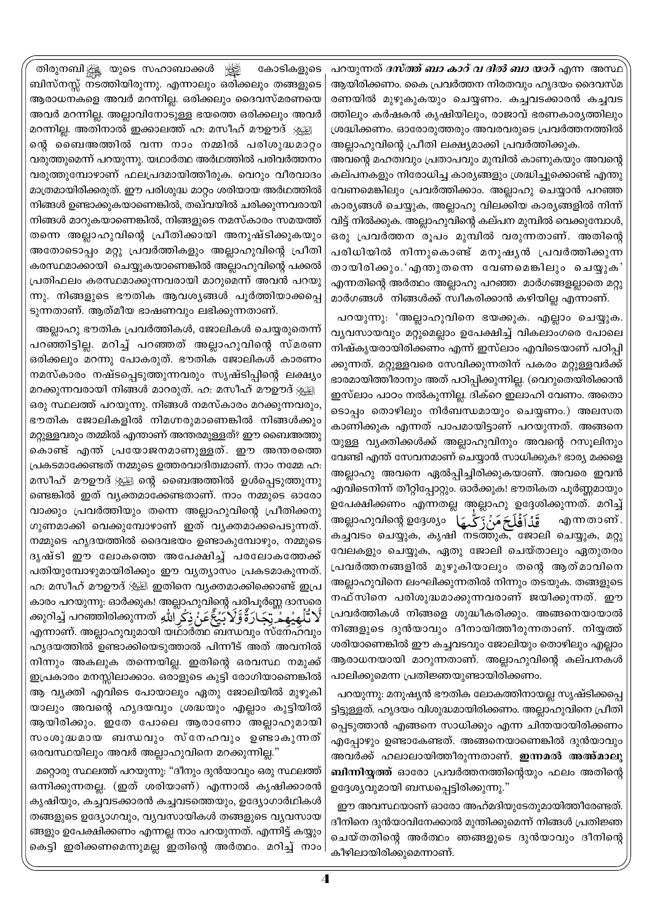തിരുനബിക്ക്ക്ല യുടെ സഹാബാക്കൾ أصليانها കോടികളുടെ ബിസ്നസ്സ് നടത്തിയിരുന്നു. എന്നാലും ഒരിക്കലും തങ്ങളുടെ ആരാധനകളെ അവർ മറന്നില്ല. ഒരിക്കലും ദൈവസ്മരണയെ അവർ മറന്നില്ല. അല്ലാവിനോടുള്ള ഭയത്തെ ഒരിക്കലും അവർ

മറന്നില്ല. അതിനാൽ ഇക്കാലത്ത് ഹ: മസീഹ് മൗഊദ് ൃഃഗ്ല്യ ന്റെ ബൈഅത്തിൽ വന്ന നാം നമ്മിൽ പരിശുദ്ധമാറ്റം വരുത്തുമെന്ന് പറയുന്നു. യഥാർത്ഥ അർഥത്തിൽ പരിവർത്തനം വരുത്തുമ്പോഴാണ് ഫലപ്രദമായിത്തീരുക. വെറും വീരവാദം മാത്രമായിരിക്കരുത്. ഈ പരിശുദ്ധ മാറ്റം ശരിയായ അർഥത്തിൽ നിങ്ങൾ ഉണ്ടാക്കുകയാണെങ്കിൽ, തഖ്വയിൽ ചരിക്കുന്നവരായി നിങ്ങൾ മാറുകയാണെങ്കിൽ, നിങ്ങളുടെ നമസ്കാരം സമയത്ത് തന്നെ അല്ലാഹുവിന്റെ പ്രീതിക്കായി അനുഷ്ടിക്കുകയും അതോടൊപ്പം മറ്റു പ്രവർത്തികളും അല്ലാഹുവിന്റെ പ്രീതി കരസ്ഥമാക്കായി ചെയ്യുകയാണെങ്കിൽ അല്ലാഹുവിന്റെ പക്കൽ പ്രതിഫലം കരസ്ഥമാക്കുന്നവരായി മാറുമെന്ന് അവൻ പറയു ന്നു. നിങ്ങളുടെ ഭൗതിക ആവശ്യങ്ങൾ പൂർത്തിയാക്കപ്പെ ടുന്നതാണ്. ആത്മീയ ഭാഷണവും ലഭിക്കുന്നതാണ്.

അല്ലാഹു ഭൗതിക പ്രവർത്തികൾ, ജോലികൾ ചെയ്യരുതെന്ന് പറഞ്ഞിട്ടില്ല. മറിച്ച് പറഞ്ഞത് അല്ലാഹുവിന്റെ സ്മരണ ഒരിക്കലും മറന്നു പോകരുത്. ഭൗതിക ജോലികൾ കാരണം നമസ്കാരം നഷ്ടപ്പെടുത്തുന്നവരും സൃഷ്ടിപ്പിന്റെ ലക്ഷ്യം മറക്കുന്നവരായി നിങ്ങൾ മാറരുത്. ഹ: മസീഹ് മൗഊദ് ൃഃഗ്തി ഒരു സ്ഥലത്ത് പറയുന്നു. നിങ്ങൾ നമസ്കാരം മറക്കുന്നവരും, ഭൗതിക ജോലികളിൽ നിമഗ്നരുമാണെങ്കിൽ നിങ്ങൾക്കും മറ്റുള്ളവരും തമ്മിൽ എന്താണ് അന്തരമുള്ളത്? ഈ ബൈഅത്തു കൊണ്ട് എന്ത് പ്രയോജനമാണുള്ളത്. ഈ അന്തരത്തെ പ്രകടമാക്കേണ്ടത് നമ്മുടെ ഉത്തരവാദിത്വമാണ്. നാം നമ്മേ ഹ: മസീഹ് മൗഊദ് ൃ്യൂട്ട്വ ന്റെ ബൈഅത്തിൽ ഉൾപ്പെടുത്തുന്നു ണ്ടെങ്കിൽ ഇത് വ്യക്തമാക്കേണ്ടതാണ്. നാം നമ്മുടെ ഓരോ വാക്കും പ്രവർത്തിയും തന്നെ അല്ലാഹുവിന്റെ പ്രീതിക്കനു ഗുണമാക്കി വെക്കുമ്പോഴാണ് ഇത് വൃക്തമാക്കപെടുന്നത്. നമ്മുടെ ഹൃദയത്തിൽ ദൈവഭയം ഉണ്ടാകുമ്പോഴും, നമ്മുടെ ദൃഷ്ടി ഈ ലോകത്തെ അപേക്ഷിച്ച് പരലോകത്തേക്ക് പതിയുമ്പോഴുമായിരിക്കും ഈ വൃത്യാസം പ്രകടമാകുന്നത്. ഹ: മസീഹ് മൗഊദ് ﷺ ഇതിനെ വ്യക്തമാക്കിക്കൊണ്ട് ഇപ്ര കാരം പറയുന്നു: ഓർക്കുക! അല്ലാഹു<mark>വിന്റെ പരിപൂർണ്ണ ദാസരെ</mark> لَّا تَلَهِيُهِمْ تِجَارَةٌ وَّلَا بَيُغۡعَنُ ذِكۡرِ اللّٰهِ ۚ هَ‱ه‱ ما لَٰهِ آنَ هُمَ مِنْ أَنْ مِن എന്നാണ്. അല്ലാഹുവുമായി യഥാർത്ഥ ബന്ധവും സ്നേഹവും ഹൃദയത്തിൽ ഉണ്ടാക്കിയെടുത്താൽ പിന്നീട് അത് അവനിൽ നിന്നും അകലുക തന്നെയില്ല. ഇതിന്റെ ഒരവസ്ഥ നമുക്ക് ഇപ്രകാരം മനസ്സിലാക്കാം. ഒരാളുടെ കുട്ടി രോഗിയാണെങ്കിൽ ആ വ്യക്തി എവിടെ പോയാലും ഏതു ജോലിയിൽ മുഴുകി യാലും അവന്റെ ഹൃദയവും ശ്രദ്ധയും എല്ലാം കുട്ടിയിൽ ആയിരിക്കും. ഇതേ പോലെ ആരാണോ അല്ലാഹുമായി സംശുദ്ധമായ ബന്ധവും സ്നേഹവും ഉണ്ടാകുന്നത് ഒരവസ്ഥയിലും അവർ അല്ലാഹുവിനെ മറക്കുന്നില്ല."

മറ്റൊരു സ്ഥലത്ത് പറയുന്നു: "ദീനും ദുൻയാവും ഒരു സ്ഥലത്ത് ഒന്നിക്കുന്നതല്ല. (ഇത് ശരിയാണ്) എന്നാൽ കൃഷിക്കാരൻ കൃഷിയും, കച്ചവടക്കാരൻ കച്ചവടത്തെയും, ഉദ്യോഗാർഥികൾ തങ്ങളുടെ ഉദ്യോഗവും, വൃവസായികൾ തങ്ങളുടെ വൃവസായ ങ്ങളും ഉപേക്ഷിക്കണം എന്നല്ല നാം പറയുന്നത്. എന്നിട്ട് കയ്യും കെട്ടി ഇരിക്കണമെന്നുമല്ല ഇതിന്റെ അർത്ഥം. മറിച്ച് നാം

പറയുന്നത് *ദസ്ത്ത് ബാ കാറ് വ ദിൽ ബാ യാറ്* എന്ന അസ്ഥ ആയിരിക്കണം. കൈ പ്രവർത്തന നിരതവും ഹൃദയം ദൈവസ്മ രണയിൽ മുഴുകുകയും ചെയ്യണം. കച്ചവടക്കാരൻ കച്ചവട ത്തിലും കർഷകൻ കൃഷിയിലും, രാജാവ് ഭരണകാര്യത്തിലും ശ്രദ്ധിക്കണം. ഓരോരുത്തരും അവരവരുടെ പ്രവർത്തനത്തിൽ അല്ലാഹുവിന്റെ പ്രീതി ലക്ഷ്യമാക്കി പ്രവർത്തിക്കുക.

അവന്റെ മഹത്വവും പ്രതാപവും മുമ്പിൽ കാണുകയും അവന്റെ കല്പനകളും നിരോധിച്ച കാര്യങ്ങളും ശ്രദ്ധിച്ചുക്കൊണ്ട് എന്തു വേണമെങ്കിലും പ്രവർത്തിക്കാം. അല്ലാഹു ചെയ്യാൻ പറഞ്ഞ കാര്യങ്ങൾ ചെയ്യുക, അല്ലാഹു വിലക്കിയ കാര്യങ്ങളിൽ നിന്ന് വിട്ട് നിൽക്കുക. അല്ലാഹുവിന്റെ കല്പന മുമ്പിൽ വെക്കുമ്പോൾ, ഒരു പ്രവർത്തന രൂപം മുമ്പിൽ വരുന്നതാണ്. അതിന്റെ പരിധിയിൽ നിന്നുകൊണ്ട് മനുഷൃൻ പ്രവർത്തിക്കുന്ന തായിരിക്കും.'എന്തുതന്നെ വേണമെങ്കിലും ചെയ്യുക' എന്നതിന്റെ അർത്ഥം അല്ലാഹു പറഞ്ഞ മാർഗങ്ങളല്ലാതെ മറ്റു മാർഗങ്ങൾ നിങ്ങൾക്ക് സ്വീകരിക്കാൻ കഴിയില്ല എന്നാണ്.

പറയുന്നു: 'അല്ലാഹുവിനെ ഭയക്കുക. എല്ലാം ചെയ്യുക. വ്യവസായവും മറ്റുമെല്ലാം ഉപേക്ഷിച്ച് വികലാംഗരെ പോലെ നിഷ്കൃയരായിരിക്കണം എന്ന് ഇസ്ലാം എവിടെയാണ് പഠിപ്പി ക്കുന്നത്. മറ്റുള്ളവരെ സേവിക്കുന്നതിന് പകരം മറ്റുള്ളവർക്ക് ഭാരമായിത്തീരാനും അത് പഠിപ്പിക്കുന്നില്ല. (വെറുതെയിരിക്കാൻ ഇസ്ലാം പാഠം നൽകുന്നില്ല. ദിക്റെ ഇലാഹി വേണം. അതൊ ടൊപ്പം തൊഴിലും നിർബന്ധമായും ചെയ്യണം.) അലസത കാണിക്കുക എന്നത് പാപമായിട്ടാണ് പറയുന്നത്. അങ്ങനെ യുള്ള വ്യക്തിക്കൾക്ക് അല്ലാഹുവിനും അവന്റെ റസൂലിനും വേണ്ടി എന്ത് സേവനമാണ് ചെയ്യാൻ സാധിക്കുക? ഭാര്യ മക്കളെ അല്ലാഹു അവനെ ഏൽപ്പിച്ചിരിക്കുകയാണ്. അവരെ ഇവൻ എവിടെനിന്ന് തീറ്റിപ്പോറ്റും. ഓർക്കുക! ഭൗതികത പൂർണ്ണമായും ഉപേക്ഷിക്കണം എന്നതല്ല അല്ലാഹു ഉദ്ദേശിക്കുന്നത്. മറിച്ച് قَدْأَفَلَحَ مَنۡزَكَّــهَا ۚ അല്ലാഹുവിന്റെ ഉദ്ദേശ്യം എന്നതാണ്. കച്ചവടം ചെയ്യുക, കൃഷി നടത്തുക, ജോലി ചെയ്യുക, മറ്റു വേലകളും ചെയ്യുക, ഏതു ജോലി ചെയ്താലും ഏതുതരം പ്രവർത്തനങ്ങളിൽ മുഴുകിയാലും തന്റെ ആത്മാവിനെ അല്ലാഹുവിനെ ലംഘിക്കുന്നതിൽ നിന്നും തടയുക. തങ്ങളുടെ നഫ്സിനെ പരിശുദ്ധമാക്കുന്നവരാണ് ജയിക്കുന്നത്. ഈ പ്രവർത്തികൾ നിങ്ങളെ ശുദ്ധീകരിക്കും. അങ്ങനെയായാൽ നിങ്ങളുടെ ദുൻയാവും ദീനായിത്തീരുന്നതാണ്. നിയ്യത്ത് ശരിയാണെങ്കിൽ ഈ കച്ചവടവും ജോലിയും തൊഴിലും എല്ലാം ആരാധനയായി മാറുന്നതാണ്. അല്ലാഹുവിന്റെ കല്പനകൾ പാലിക്കുമെന്ന പ്രതിജ്ഞയുണ്ടായിരിക്കണം.

പറയുന്നു: മനുഷ്യൻ ഭൗതിക ലോകത്തിനായല്ല സൃഷ്ടിക്കപ്പെ ട്ടിട്ടുള്ളത്. ഹൃദയം വിശുദ്ധമായിരിക്കണം. അല്ലാഹുവിനെ പ്രീതി പ്പെടുത്താൻ എങ്ങനെ സാധിക്കും എന്ന ചിന്തയായിരിക്കണം എപ്പോഴും ഉണ്ടാകേണ്ടത്. അങ്ങനെയാണെങ്കിൽ ദുൻയാവും അവർക്ക് ഹലാലായിത്തീരുന്നതാണ്. ഇന്നമൽ അഅ്മാലു ബിന്നിയ്യത്ത് ഓരോ പ്രവർത്തനത്തിന്റെയും ഫലം അതിന്റെ ഉദ്ദേശ്യവുമായി ബന്ധപ്പെട്ടിരിക്കുന്നു."

ഈ അവസ്ഥയാണ് ഓരോ അഹ്മദിയുടേതുമായിത്തീരേണ്ടത്. ദീനിനെ ദുൻയാവിനേക്കാൽ മുന്തിക്കുമെന്ന് നിങ്ങൾ പ്രതിജ്ഞ ചെയ്തതിന്റെ അർത്ഥം ഞങ്ങളുടെ ദുൻയാവും ദീനിന്റെ കീഴിലായിരിക്കുമെന്നാണ്.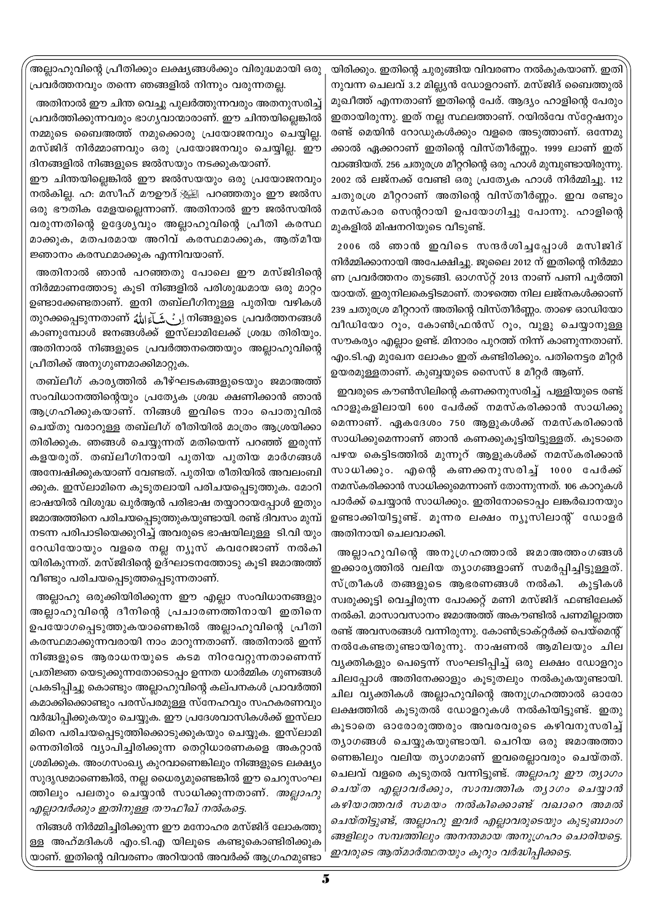.<br>അല്ലാഹുവിന്റെ പ്രീതിക്കും ലക്ഷ്യങ്ങൾക്കും വിരുദ്ധമായി ഒരു പ്രവർത്തനവും തന്നെ ഞങ്ങളിൽ നിന്നും വരുന്നതല്ല.

അതിനാൽ ഈ ചിന്ത വെച്ചു പുലർത്തുന്നവരും അതനുസരിച്ച് പ്രവർത്തിക്കുന്നവരും ഭാഗ്യവാന്മാരാണ്. ഈ ചിന്തയില്ലെങ്കിൽ നമ്മുടെ ബൈഅത്ത് നമുക്കൊരു പ്രയോജനവും ചെയ്യില്ല. മസ്ജിദ് നിർമ്മാണവും ഒരു പ്രയോജനവും ചെയ്യില്ല. ഈ ദിനങ്ങളിൽ നിങ്ങളുടെ ജൽസയും നടക്കുകയാണ്.

ഈ ചിന്തയില്ലെങ്കിൽ ഈ ജൽസയയും ഒരു പ്രയോജനവും നൽകില്ല. ഹ: മസീഹ് മൗഊദ് ﷺ പറഞ്ഞതും ഈ ജൽസ ഒരു ഭൗതിക മേളയല്ലെന്നാണ്. അതിനാൽ ഈ ജൽസയിൽ വരുന്നതിന്റെ ഉദ്ദേശ്യവും അല്ലാഹുവിന്റെ പ്രീതി കരസ്ഥ മാക്കുക, മതപരമായ അറിവ് കരസ്ഥമാക്കുക, ആത്മീയ ജ്ഞാനം കരസ്ഥമാക്കുക എന്നിവയാണ്.

അതിനാൽ ഞാൻ പറഞ്ഞതു പോലെ ഈ മസ്ജിദിന്റെ നിർമ്മാണത്തോടു കൂടി നിങ്ങളിൽ പരിശുദ്ധമായ ഒരു മാറ്റം ഉണ്ടാക്കേണ്ടതാണ്. ഇനി തബ്ലീഗിനുള്ള പുതിയ വഴികൾ തുറക്കപ്പെടുന്നതാണ് ﷺ مُعَاءَاللهُ മുറക്കപ്പെടുന്നതാണ് أَرِ കാണുമ്പോൾ ജനങ്ങൾക്ക് ഇസ്ലാമിലേക്ക് ശ്രദ്ധ തിരിയും. അതിനാൽ നിങ്ങളുടെ പ്രവർത്തനത്തെയും അല്ലാഹുവിന്റെ പ്രീതിക്ക് അനുഗുണമാക്കിമാറ്റുക.

തബ്ലീഗ് കാരൃത്തിൽ കീഴ്ഘടകങ്ങളുടെയും ജമാഅത്ത് സംവിധാനത്തിന്റെയും പ്രത്യേക ശ്രദ്ധ ക്ഷണിക്കാൻ ഞാൻ ആഗ്രഹിക്കുകയാണ്. നിങ്ങൾ ഇവിടെ നാം പൊതുവിൽ ചെയ്തു വരാറുള്ള തബ്ലീഗ് രീതിയിൽ മാത്രം ആശ്രയിക്കാ തിരിക്കുക. ഞങ്ങൾ ചെയ്യുന്നത് മതിയെന്ന് പറഞ്ഞ് ഇരുന്ന് കളയരുത്. തബ്ലീഗിനായി പുതിയ പുതിയ മാർഗങ്ങൾ അന്വേഷിക്കുകയാണ് വേണ്ടത്. പുതിയ രീതിയിൽ അവലംബി ക്കുക. ഇസ്ലാമിനെ കൂടുതലായി പരിചയപ്പെടുത്തുക. മോറി ഭാഷയിൽ വിശുദ്ധ ഖുർആൻ പരിഭാഷ തയ്യാറായപ്പോൾ ഇതും ജമാഅത്തിനെ പരിചയപ്പെടുത്തുകയുണ്ടായി. രണ്ട് ദിവസം മുമ്പ് നടന്ന പരിപാടിയെക്കുറിച്ച് അവരുടെ ഭാഷയിലുള്ള ടി.വി യും റേഡിയോയും വളരെ നല്ല ന്യൂസ് കവറേജാണ് നൽകി യിരികുന്നത്. മസ്ജിദിന്റെ ഉദ്ഘാടനത്തോടു കൂടി ജമാഅത്ത് വീണ്ടും പരിചയപ്പെടുത്തപ്പെടുന്നതാണ്.

അല്ലാഹു ഒരുക്കിയിരിക്കുന്ന ഈ എല്ലാ സംവിധാനങ്ങളും അല്ലാഹുവിന്റെ ദീനിന്റെ പ്രചാരണത്തിനായി ഇതിനെ ഉപയോഗപ്പെടുത്തുകയാണെങ്കിൽ അല്ലാഹുവിന്റെ പ്രീതി കരസ്ഥമാക്കുന്നവരായി നാം മാറുന്നതാണ്. അതിനാൽ ഇന്ന് നിങ്ങളുടെ ആരാധനയുടെ കടമ നിറവേറ്റുന്നതാണെന്ന് പ്രതിജ്ഞ യെടുക്കുന്നതോടൊപ്പം ഉന്നത ധാർമ്മിക ഗുണങ്ങൾ പ്രകടിപ്പിച്ചു കൊണ്ടും അല്ലാഹുവിന്റെ കല്പനകൾ പ്രാവർത്തി കമാക്കിക്കൊണ്ടും പരസ്പരമുള്ള സ്നേഹവും സഹകരണവും വർദ്ധിപ്പിക്കുകയും ചെയ്യുക. ഈ പ്രദേശവാസികൾക്ക് ഇസ്ലാ മിനെ പരിചയപ്പെടുത്തിക്കൊടുക്കുകയും ചെയ്യുക. ഇസ്ലാമി ന്നെതിരിൽ വ്യാപിച്ചിരിക്കുന്ന തെറ്റിധാരണകളെ അകറ്റാൻ ശ്രമിക്കുക. അംഗസംഖ്യ കുറവാണെങ്കിലും നിങ്ങളുടെ ലക്ഷ്യം സുദൃഢമാണെങ്കിൽ, നല്ല ധൈര്യമുണ്ടെങ്കിൽ ഈ ചെറുസംഘ ത്തിലും പലതും ചെയ്യാൻ സാധിക്കുന്നതാണ്. *അല്ലാഹു* എല്ലാവർക്കും ഇതിനുള്ള തൗഫീഖ് നൽകട്ടെ.

നിങ്ങൾ നിർമ്മിച്ചിരിക്കുന്ന ഈ മനോഹര മസ്ജിദ് ലോകത്തു ള്ള അഹ്മദികൾ എം.ടി.എ യിലൂടെ കണ്ടുകൊണ്ടിരിക്കുക യാണ്. ഇതിന്റെ വിവരണം അറിയാൻ അവർക്ക് ആഗ്രഹമുണ്ടാ `

യിരിക്കും. ഇതിന്റെ ചുരുങ്ങിയ വിവരണം നൽകുകയാണ്. ഇതി നുവന്ന ചെലവ് 3.2 മില്ല്യൻ ഡോളറാണ്. മസ്ജിദ് ബൈത്തുൽ മുഖീത്ത് എന്നതാണ് ഇതിന്റെ പേര്. ആദ്യം ഹാളിന്റെ പേരും ഇതായിരുന്നു. ഇത് നല്ല സ്ഥലത്താണ്. റയിൽവേ സ്റ്റേഷനും രണ്ട് മെയിൻ റോഡുകൾക്കും വളരെ അടുത്താണ്. ഒന്നേമു ക്കാൽ ഏക്കറാണ് ഇതിന്റെ വിസ്തീർണ്ണം. 1999 ലാണ് ഇത് വാങ്ങിയത്. 256 ചതുരശ്ര മീറ്ററിന്റെ ഒരു ഹാൾ മുമ്പുണ്ടായിരുന്നു. 2002 ൽ ലജ്നക്ക് വേണ്ടി ഒരു പ്രത്യേക ഹാൾ നിർമ്മിച്ചു. 112 ചതുരശ്ര മീറ്ററാണ് അതിന്റെ വിസ്തീർണ്ണം. ഇവ രണ്ടും നമസ്കാര സെന്ററായി ഉപയോഗിച്ചു പോന്നു. ഹാളിന്റെ മുകളിൽ മിഷനറിയുടെ വീടുണ്ട്.

2006 ൽ ഞാൻ ഇവിടെ സന്ദർശിച്ചപ്പോൾ മസിജിദ് നിർമ്മിക്കാനായി അപേക്ഷിച്ചു. ജൂലൈ 2012 ന് ഇതിന്റെ നിർമ്മാ ണ പ്രവർത്തനം തുടങ്ങി. ഓഗസ്റ്റ് 2013 നാണ് പണി പൂർത്തി യായത്. ഇരുനിലകെട്ടിടമാണ്. താഴത്തെ നില ലജ്നകൾക്കാണ് 239 ചതുരശ്ര മീറ്ററാന് അതിന്റെ വിസ്തീർണ്ണം. താഴെ ഓഡിയോ വീഡിയോ റൂം, കോൺഫ്രൻസ് റൂം, വുളു ചെയ്യാനുള്ള സൗകര്യം എല്ലാം ഉണ്ട്. മിനാരം പുറത്ത് നിന്ന് കാണുന്നതാണ്. എം.ടി.എ മുഖേന ലോകം ഇത് കണ്ടിരിക്കും. പതിനെട്ടര മീറ്റർ ഉയരമുള്ളതാണ്. കുബ്ബയുടെ സൈസ് 8 മീറ്റർ ആണ്.

ഇവരുടെ കൗൺസിലിന്റെ കണക്കനുസരിച്ച് പള്ളിയുടെ രണ്ട് ഹാളുകളിലായി 600 പേർക്ക് നമസ്കരിക്കാൻ സാധിക്കു മെന്നാണ്. ഏകദേശം 750 ആളുകൾക്ക് നമസ്കരിക്കാൻ സാധിക്കുമെന്നാണ് ഞാൻ കണക്കുകൂട്ടിയിട്ടുള്ളത്. കൂടാതെ പഴയ കെട്ടിടത്തിൽ മുന്നൂറ് ആളുകൾക്ക് നമസ്കരിക്കാൻ സാധിക്കും. എന്റെ കണക്കനുസരിച്ച് 1000 പേർക്ക് നമസ്കരിക്കാൻ സാധിക്കുമെന്നാണ് തോന്നുന്നത്. 106 കാറുകൾ പാർക്ക് ചെയ്യാൻ സാധിക്കും. ഇതിനോടൊപ്പം ലങ്കർഖാനയും ഉണ്ടാക്കിയിട്ടുണ്ട്. മൂന്നര ലക്ഷം ന്യൂസിലാന്റ് ഡോളർ അതിനായി ചെലവാക്കി.

അല്ലാഹുവിന്റെ അനുഗ്രഹത്താൽ ജമാഅത്തംഗങ്ങൾ ഇക്കാരൃത്തിൽ വലിയ തൃാഗങ്ങളാണ് സമർപ്പിച്ചിട്ടുള്ളത്. സ്ത്രീകൾ തങ്ങളുടെ ആഭരണങ്ങൾ നൽകി. കുട്ടികൾ സ്വരുക്കൂട്ടി വെച്ചിരുന്ന പോക്കറ്റ് മണി മസ്ജിദ് ഫണ്ടിലേക്ക് നൽകി. മാസാവസാനം ജമാഅത്ത് അകൗണ്ടിൽ പണമില്ലാത്ത രണ്ട് അവസരങ്ങൾ വന്നിരുന്നു. കോൺട്രാക്റ്റർക്ക് പെയ്മെന്റ് നൽകേണ്ടതുണ്ടായിരുന്നു. നാഷണൽ ആമിലയും ചില വ്യക്തികളും പെട്ടെന്ന് സംഘടിപ്പിച്ച് ഒരു ലക്ഷം ഡോളറും ചിലപ്പോൾ അതിനേക്കാളും കൂടുതലും നൽകുകയുണ്ടായി. ചില വ്യക്തികൾ അല്ലാഹുവിന്റെ അനുഗ്രഹത്താൽ ഓരോ ലക്ഷത്തിൽ കൂടുതൽ ഡോളറുകൾ നൽകിയിട്ടുണ്ട്. ഇതു കൂടാതെ ഓരോരുത്തരും അവരവരുടെ കഴിവനുസരിച്ച് ത്യാഗങ്ങൾ ചെയ്യുകയുണ്ടായി. ചെറിയ ഒരു ജമാഅത്താ ണെങ്കിലും വലിയ ത്യാഗമാണ് ഇവരെല്ലാവരും ചെയ്തത്. ചെലവ് വളരെ കൂടുതൽ വന്നിട്ടുണ്ട്. *അല്ലാഹു ഈ ത്യാഗം* ചെയ്ത എല്ലാവർക്കും, സാമ്പത്തിക തൃാഗം ചെയ്യാൻ കഴിയാത്തവർ സമയം നൽകിക്കൊണ്ട് വഖാറെ അമൽ ചെയ്തിട്ടുണ്ട്, അല്ലാഹു ഇവർ എല്ലാവരുടെയും കുടുബാംഗ ങ്ങളിലും സമ്പത്തിലും അനന്തമായ അനുഗ്രഹം ചൊരിയട്ടെ. ഇവരുടെ ആത്മാർത്ഥതയും കൂറും വർദ്ധിപ്പിക്കട്ടെ.